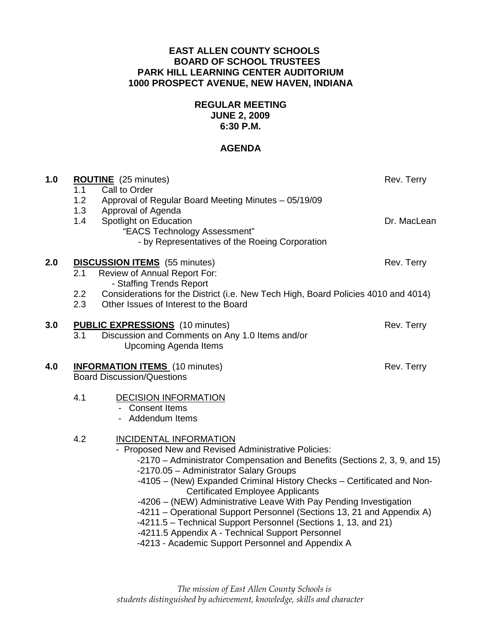# **EAST ALLEN COUNTY SCHOOLS BOARD OF SCHOOL TRUSTEES PARK HILL LEARNING CENTER AUDITORIUM 1000 PROSPECT AVENUE, NEW HAVEN, INDIANA**

# **REGULAR MEETING JUNE 2, 2009 6:30 P.M.**

# **AGENDA**

| 1.0 | <b>ROUTINE</b> (25 minutes)<br>1.1<br>Call to Order<br>1.2<br>Approval of Regular Board Meeting Minutes - 05/19/09                                                                                                                                                                                                                                                                                                                                                                                                                                                                                                                                          | Rev. Terry  |
|-----|-------------------------------------------------------------------------------------------------------------------------------------------------------------------------------------------------------------------------------------------------------------------------------------------------------------------------------------------------------------------------------------------------------------------------------------------------------------------------------------------------------------------------------------------------------------------------------------------------------------------------------------------------------------|-------------|
|     | 1.3<br>Approval of Agenda<br>1.4<br>Spotlight on Education<br>"EACS Technology Assessment"<br>- by Representatives of the Roeing Corporation                                                                                                                                                                                                                                                                                                                                                                                                                                                                                                                | Dr. MacLean |
| 2.0 | <b>DISCUSSION ITEMS</b> (55 minutes)<br>Review of Annual Report For:<br>2.1<br>- Staffing Trends Report                                                                                                                                                                                                                                                                                                                                                                                                                                                                                                                                                     | Rev. Terry  |
|     | Considerations for the District (i.e. New Tech High, Board Policies 4010 and 4014)<br>$2.2\phantom{0}$<br>2.3<br>Other Issues of Interest to the Board                                                                                                                                                                                                                                                                                                                                                                                                                                                                                                      |             |
| 3.0 | <b>PUBLIC EXPRESSIONS</b> (10 minutes)<br>Discussion and Comments on Any 1.0 Items and/or<br>3.1<br><b>Upcoming Agenda Items</b>                                                                                                                                                                                                                                                                                                                                                                                                                                                                                                                            | Rev. Terry  |
| 4.0 | <b>INFORMATION ITEMS</b> (10 minutes)<br><b>Board Discussion/Questions</b>                                                                                                                                                                                                                                                                                                                                                                                                                                                                                                                                                                                  | Rev. Terry  |
|     | 4.1<br><b>DECISION INFORMATION</b><br>- Consent Items<br>- Addendum Items                                                                                                                                                                                                                                                                                                                                                                                                                                                                                                                                                                                   |             |
| 4.2 | <b>INCIDENTAL INFORMATION</b><br>- Proposed New and Revised Administrative Policies:<br>-2170 – Administrator Compensation and Benefits (Sections 2, 3, 9, and 15)<br>-2170.05 - Administrator Salary Groups<br>-4105 - (New) Expanded Criminal History Checks - Certificated and Non-<br><b>Certificated Employee Applicants</b><br>-4206 - (NEW) Administrative Leave With Pay Pending Investigation<br>-4211 - Operational Support Personnel (Sections 13, 21 and Appendix A)<br>-4211.5 - Technical Support Personnel (Sections 1, 13, and 21)<br>-4211.5 Appendix A - Technical Support Personnel<br>-4213 - Academic Support Personnel and Appendix A |             |
|     |                                                                                                                                                                                                                                                                                                                                                                                                                                                                                                                                                                                                                                                             |             |